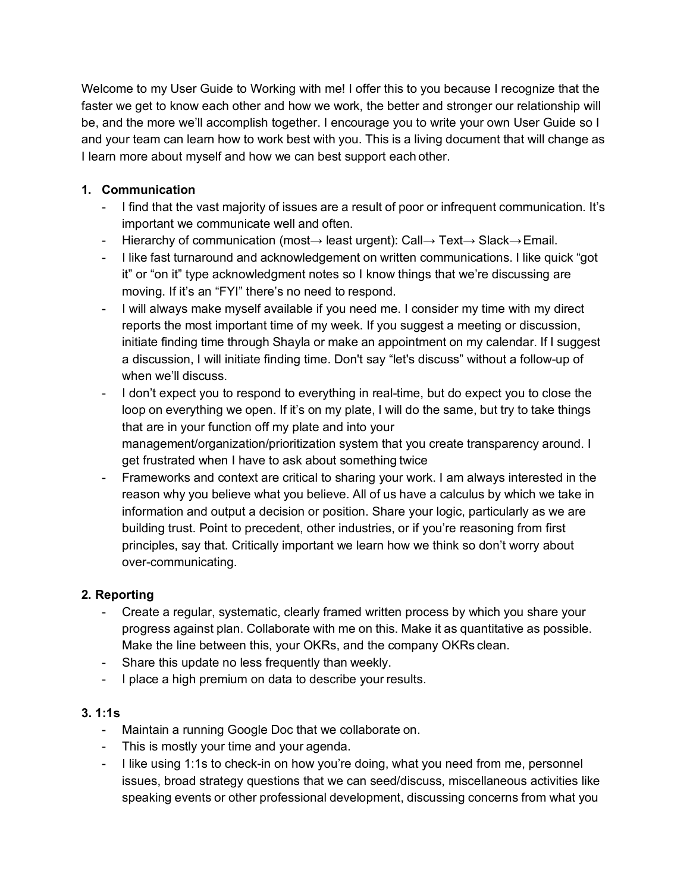Welcome to my User Guide to Working with me! I offer this to you because I recognize that the faster we get to know each other and how we work, the better and stronger our relationship will be, and the more we'll accomplish together. I encourage you to write your own User Guide so I and your team can learn how to work best with you. This is a living document that will change as I learn more about myself and how we can best support each other.

## **1. Communication**

- I find that the vast majority of issues are a result of poor or infrequent communication. It's important we communicate well and often.
- Hierarchy of communication (most→ least urgent): Call→ Text→ Slack→Email.
- I like fast turnaround and acknowledgement on written communications. I like quick "got it" or "on it" type acknowledgment notes so I know things that we're discussing are moving. If it's an "FYI" there's no need to respond.
- I will always make myself available if you need me. I consider my time with my direct reports the most important time of my week. If you suggest a meeting or discussion, initiate finding time through Shayla or make an appointment on my calendar. If I suggest a discussion, I will initiate finding time. Don't say "let's discuss" without a follow-up of when we'll discuss.
- I don't expect you to respond to everything in real-time, but do expect you to close the loop on everything we open. If it's on my plate, I will do the same, but try to take things that are in your function off my plate and into your management/organization/prioritization system that you create transparency around. I get frustrated when I have to ask about something twice
- Frameworks and context are critical to sharing your work. I am always interested in the reason why you believe what you believe. All of us have a calculus by which we take in information and output a decision or position. Share your logic, particularly as we are building trust. Point to precedent, other industries, or if you're reasoning from first principles, say that. Critically important we learn how we think so don't worry about over-communicating.

## **2. Reporting**

- Create a regular, systematic, clearly framed written process by which you share your progress against plan. Collaborate with me on this. Make it as quantitative as possible. Make the line between this, your OKRs, and the company OKRs clean.
- Share this update no less frequently than weekly.
- I place a high premium on data to describe your results.

## **3. 1:1s**

- Maintain a running Google Doc that we collaborate on.
- This is mostly your time and your agenda.
- I like using 1:1s to check-in on how you're doing, what you need from me, personnel issues, broad strategy questions that we can seed/discuss, miscellaneous activities like speaking events or other professional development, discussing concerns from what you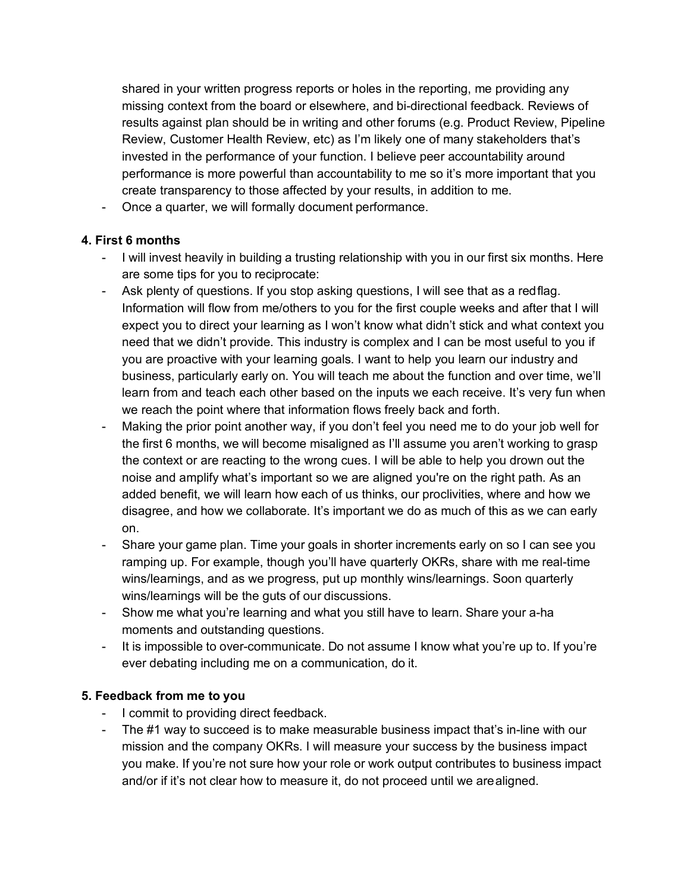shared in your written progress reports or holes in the reporting, me providing any missing context from the board or elsewhere, and bi-directional feedback. Reviews of results against plan should be in writing and other forums (e.g. Product Review, Pipeline Review, Customer Health Review, etc) as I'm likely one of many stakeholders that's invested in the performance of your function. I believe peer accountability around performance is more powerful than accountability to me so it's more important that you create transparency to those affected by your results, in addition to me.

- Once a quarter, we will formally document performance.

### **4. First 6 months**

- I will invest heavily in building a trusting relationship with you in our first six months. Here are some tips for you to reciprocate:
- Ask plenty of questions. If you stop asking questions, I will see that as a redflag. Information will flow from me/others to you for the first couple weeks and after that I will expect you to direct your learning as I won't know what didn't stick and what context you need that we didn't provide. This industry is complex and I can be most useful to you if you are proactive with your learning goals. I want to help you learn our industry and business, particularly early on. You will teach me about the function and over time, we'll learn from and teach each other based on the inputs we each receive. It's very fun when we reach the point where that information flows freely back and forth.
- Making the prior point another way, if you don't feel you need me to do your job well for the first 6 months, we will become misaligned as I'll assume you aren't working to grasp the context or are reacting to the wrong cues. I will be able to help you drown out the noise and amplify what's important so we are aligned you're on the right path. As an added benefit, we will learn how each of us thinks, our proclivities, where and how we disagree, and how we collaborate. It's important we do as much of this as we can early on.
- Share your game plan. Time your goals in shorter increments early on so I can see you ramping up. For example, though you'll have quarterly OKRs, share with me real-time wins/learnings, and as we progress, put up monthly wins/learnings. Soon quarterly wins/learnings will be the guts of our discussions.
- Show me what you're learning and what you still have to learn. Share your a-ha moments and outstanding questions.
- It is impossible to over-communicate. Do not assume I know what you're up to. If you're ever debating including me on a communication, do it.

## **5. Feedback from me to you**

- I commit to providing direct feedback.
- The #1 way to succeed is to make measurable business impact that's in-line with our mission and the company OKRs. I will measure your success by the business impact you make. If you're not sure how your role or work output contributes to business impact and/or if it's not clear how to measure it, do not proceed until we arealigned.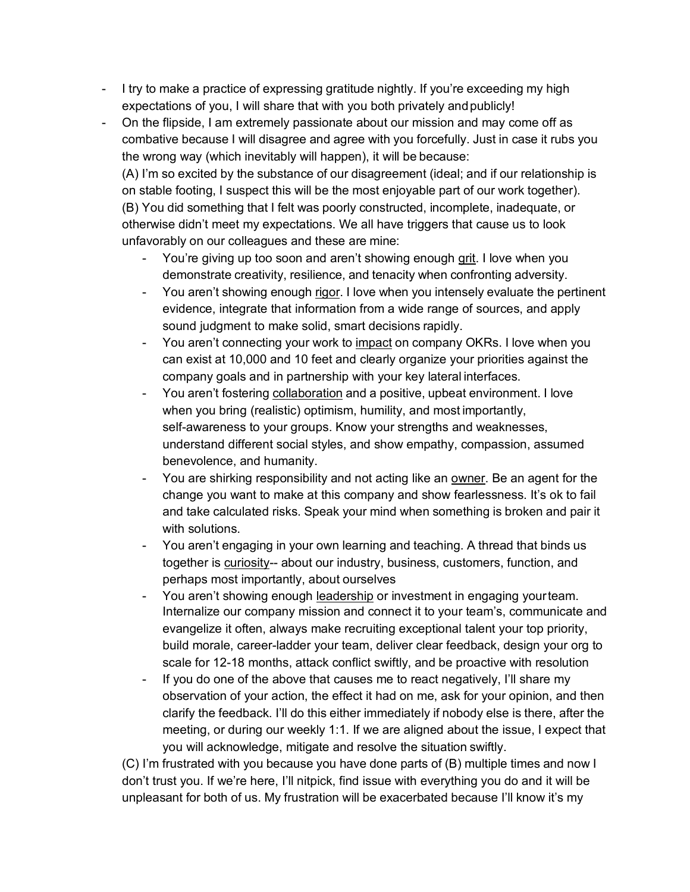- I try to make a practice of expressing gratitude nightly. If you're exceeding my high expectations of you, I will share that with you both privately and publicly!
- On the flipside, I am extremely passionate about our mission and may come off as combative because I will disagree and agree with you forcefully. Just in case it rubs you the wrong way (which inevitably will happen), it will be because:

(A) I'm so excited by the substance of our disagreement (ideal; and if our relationship is on stable footing, I suspect this will be the most enjoyable part of our work together). (B) You did something that I felt was poorly constructed, incomplete, inadequate, or otherwise didn't meet my expectations. We all have triggers that cause us to look unfavorably on our colleagues and these are mine:

- You're giving up too soon and aren't showing enough grit. I love when you demonstrate creativity, resilience, and tenacity when confronting adversity.
- You aren't showing enough rigor. I love when you intensely evaluate the pertinent evidence, integrate that information from a wide range of sources, and apply sound judgment to make solid, smart decisions rapidly.
- You aren't connecting your work to impact on company OKRs. I love when you can exist at 10,000 and 10 feet and clearly organize your priorities against the company goals and in partnership with your key lateral interfaces.
- You aren't fostering collaboration and a positive, upbeat environment. I love when you bring (realistic) optimism, humility, and most importantly, self-awareness to your groups. Know your strengths and weaknesses, understand different social styles, and show empathy, compassion, assumed benevolence, and humanity.
- You are shirking responsibility and not acting like an owner. Be an agent for the change you want to make at this company and show fearlessness. It's ok to fail and take calculated risks. Speak your mind when something is broken and pair it with solutions.
- You aren't engaging in your own learning and teaching. A thread that binds us together is curiosity-- about our industry, business, customers, function, and perhaps most importantly, about ourselves
- You aren't showing enough leadership or investment in engaging yourteam. Internalize our company mission and connect it to your team's, communicate and evangelize it often, always make recruiting exceptional talent your top priority, build morale, career-ladder your team, deliver clear feedback, design your org to scale for 12-18 months, attack conflict swiftly, and be proactive with resolution
- If you do one of the above that causes me to react negatively, I'll share my observation of your action, the effect it had on me, ask for your opinion, and then clarify the feedback. I'll do this either immediately if nobody else is there, after the meeting, or during our weekly 1:1. If we are aligned about the issue, I expect that you will acknowledge, mitigate and resolve the situation swiftly.

(C) I'm frustrated with you because you have done parts of (B) multiple times and now I don't trust you. If we're here, I'll nitpick, find issue with everything you do and it will be unpleasant for both of us. My frustration will be exacerbated because I'll know it's my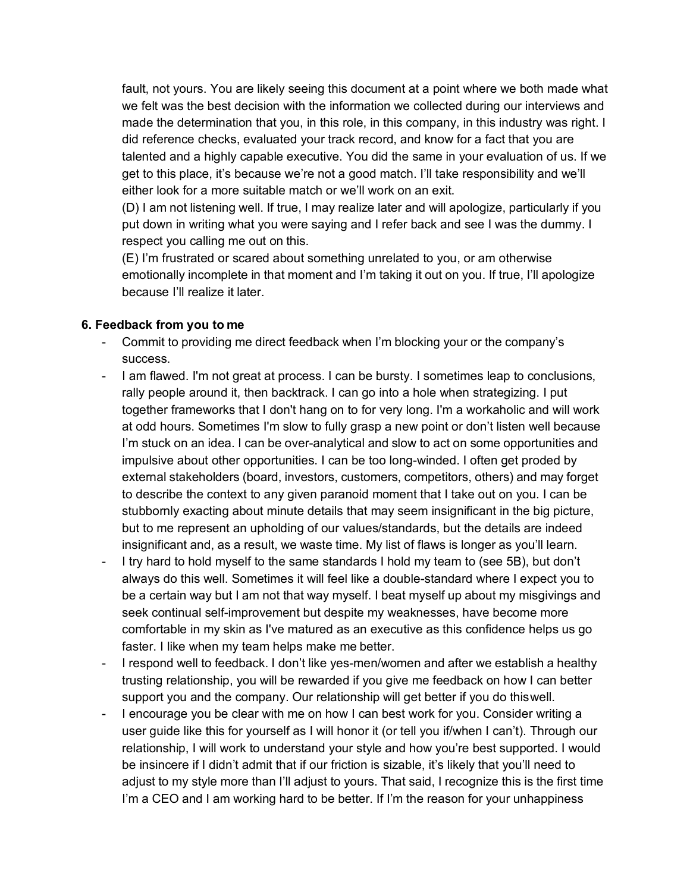fault, not yours. You are likely seeing this document at a point where we both made what we felt was the best decision with the information we collected during our interviews and made the determination that you, in this role, in this company, in this industry was right. I did reference checks, evaluated your track record, and know for a fact that you are talented and a highly capable executive. You did the same in your evaluation of us. If we get to this place, it's because we're not a good match. I'll take responsibility and we'll either look for a more suitable match or we'll work on an exit.

(D) I am not listening well. If true, I may realize later and will apologize, particularly if you put down in writing what you were saying and I refer back and see I was the dummy. I respect you calling me out on this.

(E) I'm frustrated or scared about something unrelated to you, or am otherwise emotionally incomplete in that moment and I'm taking it out on you. If true, I'll apologize because I'll realize it later.

#### **6. Feedback from you to me**

- Commit to providing me direct feedback when I'm blocking your or the company's success.
- I am flawed. I'm not great at process. I can be bursty. I sometimes leap to conclusions, rally people around it, then backtrack. I can go into a hole when strategizing. I put together frameworks that I don't hang on to for very long. I'm a workaholic and will work at odd hours. Sometimes I'm slow to fully grasp a new point or don't listen well because I'm stuck on an idea. I can be over-analytical and slow to act on some opportunities and impulsive about other opportunities. I can be too long-winded. I often get proded by external stakeholders (board, investors, customers, competitors, others) and may forget to describe the context to any given paranoid moment that I take out on you. I can be stubbornly exacting about minute details that may seem insignificant in the big picture, but to me represent an upholding of our values/standards, but the details are indeed insignificant and, as a result, we waste time. My list of flaws is longer as you'll learn.
- I try hard to hold myself to the same standards I hold my team to (see 5B), but don't always do this well. Sometimes it will feel like a double-standard where I expect you to be a certain way but I am not that way myself. I beat myself up about my misgivings and seek continual self-improvement but despite my weaknesses, have become more comfortable in my skin as I've matured as an executive as this confidence helps us go faster. I like when my team helps make me better.
- I respond well to feedback. I don't like yes-men/women and after we establish a healthy trusting relationship, you will be rewarded if you give me feedback on how I can better support you and the company. Our relationship will get better if you do thiswell.
- I encourage you be clear with me on how I can best work for you. Consider writing a user guide like this for yourself as I will honor it (or tell you if/when I can't). Through our relationship, I will work to understand your style and how you're best supported. I would be insincere if I didn't admit that if our friction is sizable, it's likely that you'll need to adjust to my style more than I'll adjust to yours. That said, I recognize this is the first time I'm a CEO and I am working hard to be better. If I'm the reason for your unhappiness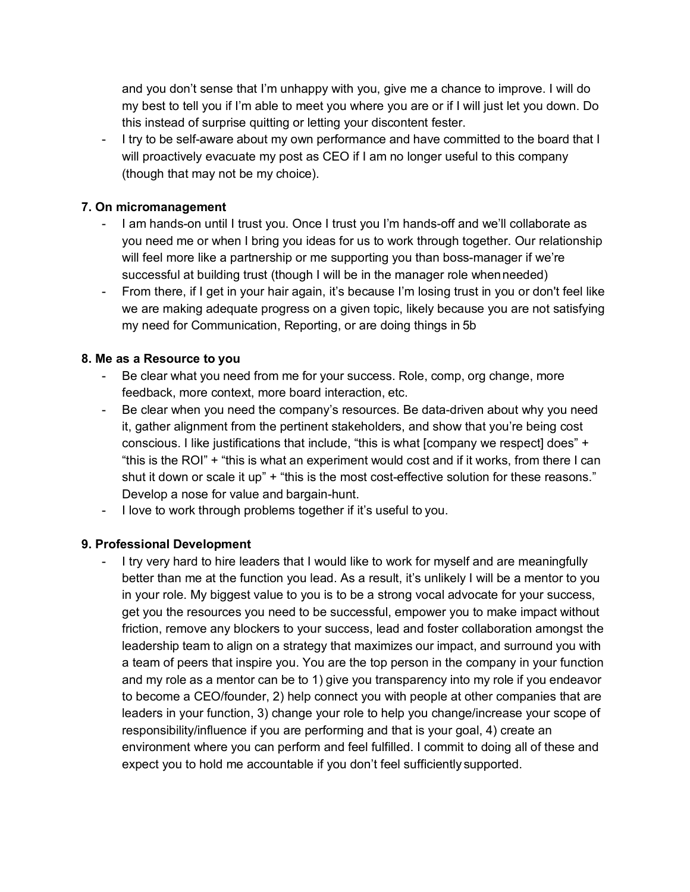and you don't sense that I'm unhappy with you, give me a chance to improve. I will do my best to tell you if I'm able to meet you where you are or if I will just let you down. Do this instead of surprise quitting or letting your discontent fester.

- I try to be self-aware about my own performance and have committed to the board that I will proactively evacuate my post as CEO if I am no longer useful to this company (though that may not be my choice).

### **7. On micromanagement**

- I am hands-on until I trust you. Once I trust you I'm hands-off and we'll collaborate as you need me or when I bring you ideas for us to work through together. Our relationship will feel more like a partnership or me supporting you than boss-manager if we're successful at building trust (though I will be in the manager role whenneeded)
- From there, if I get in your hair again, it's because I'm losing trust in you or don't feel like we are making adequate progress on a given topic, likely because you are not satisfying my need for Communication, Reporting, or are doing things in 5b

#### **8. Me as a Resource to you**

- Be clear what you need from me for your success. Role, comp, org change, more feedback, more context, more board interaction, etc.
- Be clear when you need the company's resources. Be data-driven about why you need it, gather alignment from the pertinent stakeholders, and show that you're being cost conscious. I like justifications that include, "this is what [company we respect] does" + "this is the ROI" + "this is what an experiment would cost and if it works, from there I can shut it down or scale it up" + "this is the most cost-effective solution for these reasons." Develop a nose for value and bargain-hunt.
- I love to work through problems together if it's useful to you.

## **9. Professional Development**

- I try very hard to hire leaders that I would like to work for myself and are meaningfully better than me at the function you lead. As a result, it's unlikely I will be a mentor to you in your role. My biggest value to you is to be a strong vocal advocate for your success, get you the resources you need to be successful, empower you to make impact without friction, remove any blockers to your success, lead and foster collaboration amongst the leadership team to align on a strategy that maximizes our impact, and surround you with a team of peers that inspire you. You are the top person in the company in your function and my role as a mentor can be to 1) give you transparency into my role if you endeavor to become a CEO/founder, 2) help connect you with people at other companies that are leaders in your function, 3) change your role to help you change/increase your scope of responsibility/influence if you are performing and that is your goal, 4) create an environment where you can perform and feel fulfilled. I commit to doing all of these and expect you to hold me accountable if you don't feel sufficiently supported.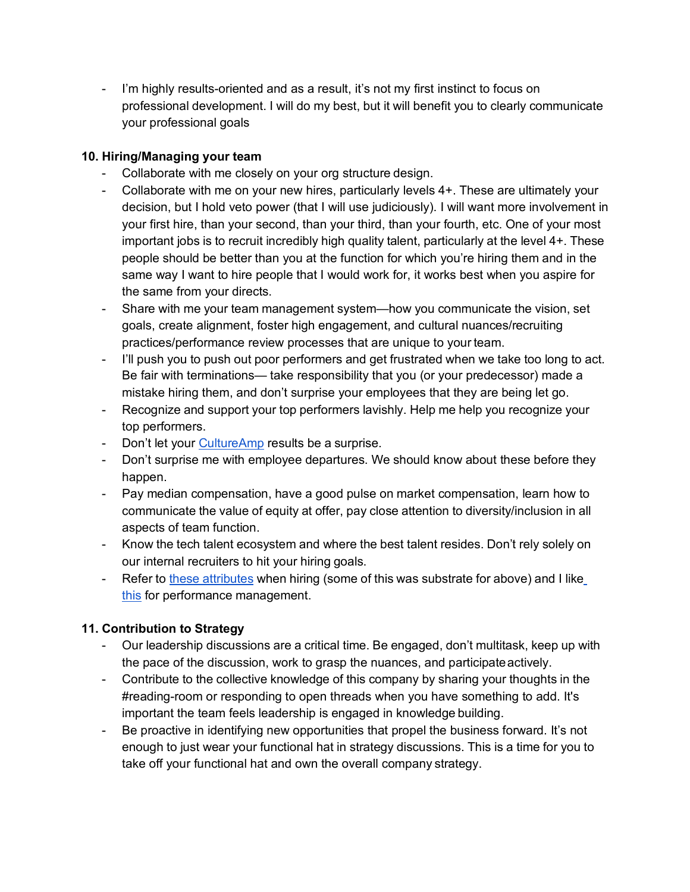- I'm highly results-oriented and as a result, it's not my first instinct to focus on professional development. I will do my best, but it will benefit you to clearly communicate your professional goals

## **10. Hiring/Managing your team**

- Collaborate with me closely on your org structure design.
- Collaborate with me on your new hires, particularly levels 4+. These are ultimately your decision, but I hold veto power (that I will use judiciously). I will want more involvement in your first hire, than your second, than your third, than your fourth, etc. One of your most important jobs is to recruit incredibly high quality talent, particularly at the level 4+. These people should be better than you at the function for which you're hiring them and in the same way I want to hire people that I would work for, it works best when you aspire for the same from your directs.
- Share with me your team management system—how you communicate the vision, set goals, create alignment, foster high engagement, and cultural nuances/recruiting practices/performance review processes that are unique to your team.
- I'll push you to push out poor performers and get frustrated when we take too long to act. Be fair with terminations— take responsibility that you (or your predecessor) made a mistake hiring them, and don't surprise your employees that they are being let go.
- Recognize and support your top performers lavishly. Help me help you recognize your top performers.
- Don't let your CultureAmp results be a surprise.
- Don't surprise me with employee departures. We should know about these before they happen.
- Pay median compensation, have a good pulse on market compensation, learn how to communicate the value of equity at offer, pay close attention to diversity/inclusion in all aspects of team function.
- Know the tech talent ecosystem and where the best talent resides. Don't rely solely on our internal recruiters to hit your hiring goals.
- Refer to these attributes when hiring (some of this was substrate for above) and I like this for performance management.

# **11. Contribution to Strategy**

- Our leadership discussions are a critical time. Be engaged, don't multitask, keep up with the pace of the discussion, work to grasp the nuances, and participate actively.
- Contribute to the collective knowledge of this company by sharing your thoughts in the #reading-room or responding to open threads when you have something to add. It's important the team feels leadership is engaged in knowledge building.
- Be proactive in identifying new opportunities that propel the business forward. It's not enough to just wear your functional hat in strategy discussions. This is a time for you to take off your functional hat and own the overall company strategy.